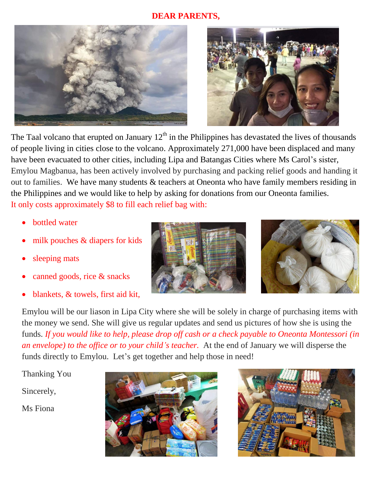## **DEAR PARENTS,**





The Taal volcano that erupted on January  $12<sup>th</sup>$  in the Philippines has devastated the lives of thousands of people living in cities close to the volcano. Approximately 271,000 have been displaced and many have been evacuated to other cities, including Lipa and Batangas Cities where Ms Carol's sister, Emylou Magbanua, has been actively involved by purchasing and packing relief goods and handing it out to families. We have many students & teachers at Oneonta who have family members residing in the Philippines and we would like to help by asking for donations from our Oneonta families. It only costs approximately \$8 to fill each relief bag with:

- bottled water
- milk pouches & diapers for kids
- sleeping mats
- canned goods, rice & snacks
- blankets, & towels, first aid kit,





Emylou will be our liason in Lipa City where she will be solely in charge of purchasing items with the money we send. She will give us regular updates and send us pictures of how she is using the funds. *If you would like to help, please drop off cash or a check payable to Oneonta Montessori (in an envelope) to the office or to your child's teacher.* At the end of January we will disperse the funds directly to Emylou. Let's get together and help those in need!

Thanking You

Sincerely,

Ms Fiona